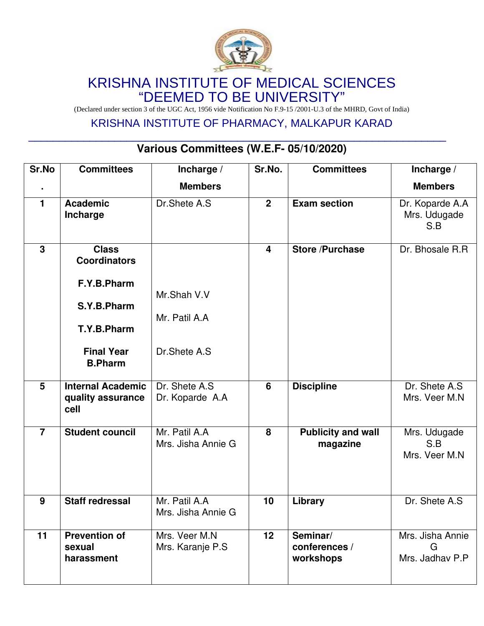

## KRISHNA INSTITUTE OF MEDICAL SCIENCES "DEEMED TO BE UNIVERSITY"

(Declared under section 3 of the UGC Act, 1956 vide Notification No F.9-15 /2001-U.3 of the MHRD, Govt of India)

### KRISHNA INSTITUTE OF PHARMACY, MALKAPUR KARAD

# **Various Committees (W.E.F- 05/10/2020)**

 $\mathcal{L}_\mathcal{L} = \mathcal{L}_\mathcal{L} = \mathcal{L}_\mathcal{L} = \mathcal{L}_\mathcal{L} = \mathcal{L}_\mathcal{L} = \mathcal{L}_\mathcal{L} = \mathcal{L}_\mathcal{L} = \mathcal{L}_\mathcal{L} = \mathcal{L}_\mathcal{L} = \mathcal{L}_\mathcal{L} = \mathcal{L}_\mathcal{L} = \mathcal{L}_\mathcal{L} = \mathcal{L}_\mathcal{L} = \mathcal{L}_\mathcal{L} = \mathcal{L}_\mathcal{L} = \mathcal{L}_\mathcal{L} = \mathcal{L}_\mathcal{L}$ 

| Sr.No          | <b>Committees</b>                                     | Incharge /                          | Sr.No.           | <b>Committees</b>                      | Incharge /                               |
|----------------|-------------------------------------------------------|-------------------------------------|------------------|----------------------------------------|------------------------------------------|
|                |                                                       | <b>Members</b>                      |                  |                                        | <b>Members</b>                           |
| 1              | <b>Academic</b><br>Incharge                           | Dr.Shete A.S                        | $\boldsymbol{2}$ | <b>Exam section</b>                    | Dr. Koparde A.A<br>Mrs. Udugade<br>S.B   |
| $\mathbf{3}$   | <b>Class</b><br><b>Coordinators</b>                   |                                     | $\overline{4}$   | <b>Store /Purchase</b>                 | Dr. Bhosale R.R                          |
|                | F.Y.B.Pharm<br>S.Y.B.Pharm                            | Mr.Shah V.V                         |                  |                                        |                                          |
|                | T.Y.B.Pharm                                           | Mr. Patil A.A                       |                  |                                        |                                          |
|                | <b>Final Year</b><br><b>B.Pharm</b>                   | Dr.Shete A.S.                       |                  |                                        |                                          |
| 5              | <b>Internal Academic</b><br>quality assurance<br>cell | Dr. Shete A.S<br>Dr. Koparde A.A    | 6                | <b>Discipline</b>                      | Dr. Shete A.S.<br>Mrs. Veer M.N          |
| $\overline{7}$ | <b>Student council</b>                                | Mr. Patil A.A<br>Mrs. Jisha Annie G | 8                | <b>Publicity and wall</b><br>magazine  | Mrs. Udugade<br>S.B<br>Mrs. Veer M.N     |
| 9              | <b>Staff redressal</b>                                | Mr. Patil A.A<br>Mrs. Jisha Annie G | 10               | Library                                | Dr. Shete A.S                            |
| 11             | <b>Prevention of</b><br>sexual<br>harassment          | Mrs. Veer M.N<br>Mrs. Karanje P.S   | 12               | Seminar/<br>conferences /<br>workshops | Mrs. Jisha Annie<br>G<br>Mrs. Jadhav P.P |